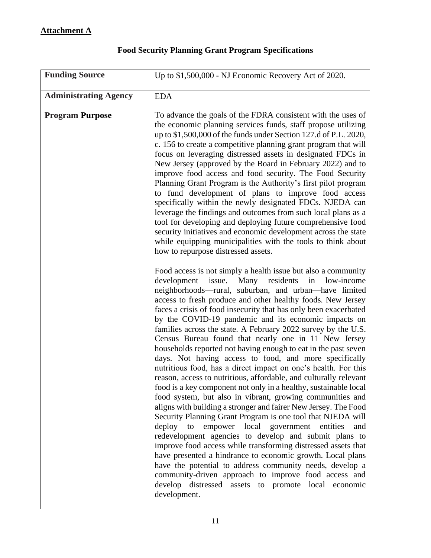| <b>Funding Source</b>        | Up to \$1,500,000 - NJ Economic Recovery Act of 2020.                                                                                                                                                                                                                                                                                                                                                                                                                                                                                                                                                                                                                                                                                                                                                                                                                                                                                                                                                                                                                                                                                                                                                                                                                                                                                                                                                                                                                                          |
|------------------------------|------------------------------------------------------------------------------------------------------------------------------------------------------------------------------------------------------------------------------------------------------------------------------------------------------------------------------------------------------------------------------------------------------------------------------------------------------------------------------------------------------------------------------------------------------------------------------------------------------------------------------------------------------------------------------------------------------------------------------------------------------------------------------------------------------------------------------------------------------------------------------------------------------------------------------------------------------------------------------------------------------------------------------------------------------------------------------------------------------------------------------------------------------------------------------------------------------------------------------------------------------------------------------------------------------------------------------------------------------------------------------------------------------------------------------------------------------------------------------------------------|
| <b>Administrating Agency</b> | <b>EDA</b>                                                                                                                                                                                                                                                                                                                                                                                                                                                                                                                                                                                                                                                                                                                                                                                                                                                                                                                                                                                                                                                                                                                                                                                                                                                                                                                                                                                                                                                                                     |
| <b>Program Purpose</b>       | To advance the goals of the FDRA consistent with the uses of<br>the economic planning services funds, staff propose utilizing<br>up to \$1,500,000 of the funds under Section 127.d of P.L. 2020,<br>c. 156 to create a competitive planning grant program that will<br>focus on leveraging distressed assets in designated FDCs in<br>New Jersey (approved by the Board in February 2022) and to<br>improve food access and food security. The Food Security<br>Planning Grant Program is the Authority's first pilot program<br>to fund development of plans to improve food access<br>specifically within the newly designated FDCs. NJEDA can<br>leverage the findings and outcomes from such local plans as a<br>tool for developing and deploying future comprehensive food<br>security initiatives and economic development across the state<br>while equipping municipalities with the tools to think about<br>how to repurpose distressed assets.                                                                                                                                                                                                                                                                                                                                                                                                                                                                                                                                     |
|                              | Food access is not simply a health issue but also a community<br>development<br>issue.<br>Many<br>residents<br>low-income<br>in<br>neighborhoods—rural, suburban, and urban—have limited<br>access to fresh produce and other healthy foods. New Jersey<br>faces a crisis of food insecurity that has only been exacerbated<br>by the COVID-19 pandemic and its economic impacts on<br>families across the state. A February 2022 survey by the U.S.<br>Census Bureau found that nearly one in 11 New Jersey<br>households reported not having enough to eat in the past seven<br>days. Not having access to food, and more specifically<br>nutritious food, has a direct impact on one's health. For this<br>reason, access to nutritious, affordable, and culturally relevant<br>food is a key component not only in a healthy, sustainable local<br>food system, but also in vibrant, growing communities and<br>aligns with building a stronger and fairer New Jersey. The Food<br>Security Planning Grant Program is one tool that NJEDA will<br>empower local government entities<br>deploy to<br>and<br>redevelopment agencies to develop and submit plans to<br>improve food access while transforming distressed assets that<br>have presented a hindrance to economic growth. Local plans<br>have the potential to address community needs, develop a<br>community-driven approach to improve food access and<br>develop distressed assets to promote local economic<br>development. |

## **Food Security Planning Grant Program Specifications**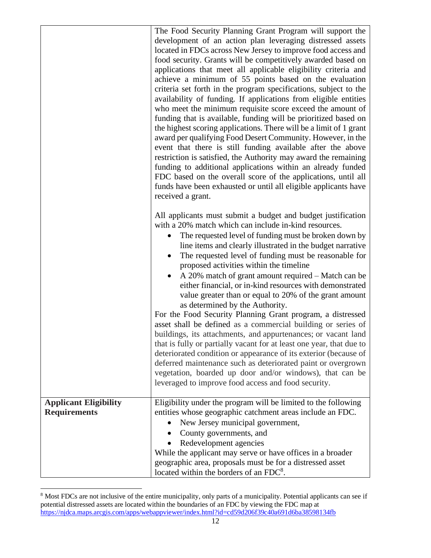|                                                     | The Food Security Planning Grant Program will support the<br>development of an action plan leveraging distressed assets<br>located in FDCs across New Jersey to improve food access and<br>food security. Grants will be competitively awarded based on<br>applications that meet all applicable eligibility criteria and<br>achieve a minimum of 55 points based on the evaluation<br>criteria set forth in the program specifications, subject to the<br>availability of funding. If applications from eligible entities<br>who meet the minimum requisite score exceed the amount of<br>funding that is available, funding will be prioritized based on<br>the highest scoring applications. There will be a limit of 1 grant<br>award per qualifying Food Desert Community. However, in the<br>event that there is still funding available after the above<br>restriction is satisfied, the Authority may award the remaining<br>funding to additional applications within an already funded<br>FDC based on the overall score of the applications, until all<br>funds have been exhausted or until all eligible applicants have<br>received a grant. |
|-----------------------------------------------------|-----------------------------------------------------------------------------------------------------------------------------------------------------------------------------------------------------------------------------------------------------------------------------------------------------------------------------------------------------------------------------------------------------------------------------------------------------------------------------------------------------------------------------------------------------------------------------------------------------------------------------------------------------------------------------------------------------------------------------------------------------------------------------------------------------------------------------------------------------------------------------------------------------------------------------------------------------------------------------------------------------------------------------------------------------------------------------------------------------------------------------------------------------------|
|                                                     | All applicants must submit a budget and budget justification<br>with a 20% match which can include in-kind resources.<br>The requested level of funding must be broken down by<br>line items and clearly illustrated in the budget narrative<br>The requested level of funding must be reasonable for<br>proposed activities within the timeline<br>A 20% match of grant amount required - Match can be<br>either financial, or in-kind resources with demonstrated<br>value greater than or equal to 20% of the grant amount<br>as determined by the Authority.<br>For the Food Security Planning Grant program, a distressed<br>asset shall be defined as a commercial building or series of<br>buildings, its attachments, and appurtenances; or vacant land<br>that is fully or partially vacant for at least one year, that due to<br>deteriorated condition or appearance of its exterior (because of<br>deferred maintenance such as deteriorated paint or overgrown<br>vegetation, boarded up door and/or windows), that can be<br>leveraged to improve food access and food security.                                                            |
| <b>Applicant Eligibility</b><br><b>Requirements</b> | Eligibility under the program will be limited to the following<br>entities whose geographic catchment areas include an FDC.<br>New Jersey municipal government,<br>County governments, and<br>Redevelopment agencies<br>While the applicant may serve or have offices in a broader<br>geographic area, proposals must be for a distressed asset<br>located within the borders of an FDC <sup>8</sup> .                                                                                                                                                                                                                                                                                                                                                                                                                                                                                                                                                                                                                                                                                                                                                    |

<sup>&</sup>lt;sup>8</sup> Most FDCs are not inclusive of the entire municipality, only parts of a municipality. Potential applicants can see if potential distressed assets are located within the boundaries of an FDC by viewing the FDC map at <https://njdca.maps.arcgis.com/apps/webappviewer/index.html?id=cd59d206f39c40a691d6ba38598134fb>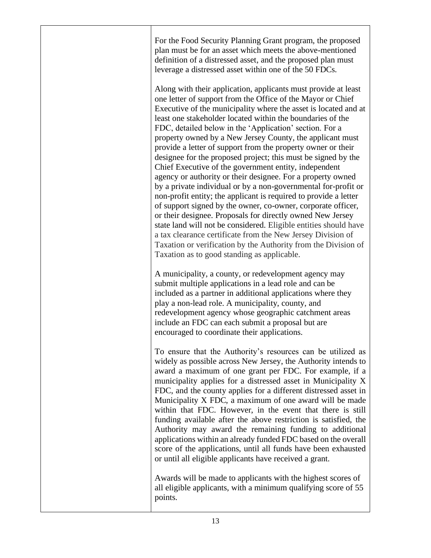For the Food Security Planning Grant program, the proposed plan must be for an asset which meets the above-mentioned definition of a distressed asset, and the proposed plan must leverage a distressed asset within one of the 50 FDCs.

Along with their application, applicants must provide at least one letter of support from the Office of the Mayor or Chief Executive of the municipality where the asset is located and at least one stakeholder located within the boundaries of the FDC, detailed below in the 'Application' section. For a property owned by a New Jersey County, the applicant must provide a letter of support from the property owner or their designee for the proposed project; this must be signed by the Chief Executive of the government entity, independent agency or authority or their designee. For a property owned by a private individual or by a non-governmental for-profit or non-profit entity; the applicant is required to provide a letter of support signed by the owner, co-owner, corporate officer, or their designee. Proposals for directly owned New Jersey state land will not be considered. Eligible entities should have a tax clearance certificate from the New Jersey Division of Taxation or verification by the Authority from the Division of Taxation as to good standing as applicable.

A municipality, a county, or redevelopment agency may submit multiple applications in a lead role and can be included as a partner in additional applications where they play a non-lead role. A municipality, county, and redevelopment agency whose geographic catchment areas include an FDC can each submit a proposal but are encouraged to coordinate their applications.

To ensure that the Authority's resources can be utilized as widely as possible across New Jersey, the Authority intends to award a maximum of one grant per FDC. For example, if a municipality applies for a distressed asset in Municipality X FDC, and the county applies for a different distressed asset in Municipality X FDC, a maximum of one award will be made within that FDC. However, in the event that there is still funding available after the above restriction is satisfied, the Authority may award the remaining funding to additional applications within an already funded FDC based on the overall score of the applications, until all funds have been exhausted or until all eligible applicants have received a grant.

Awards will be made to applicants with the highest scores of all eligible applicants, with a minimum qualifying score of 55 points.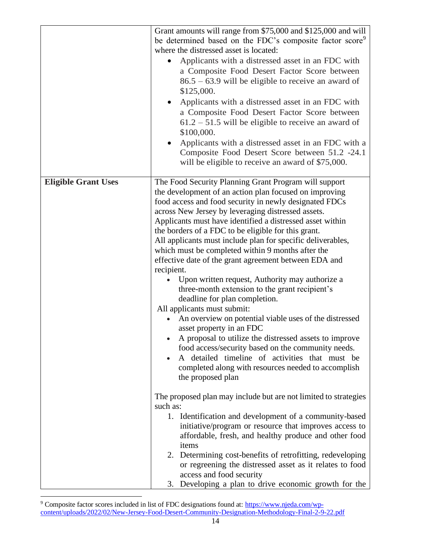|                            | Grant amounts will range from \$75,000 and \$125,000 and will<br>be determined based on the FDC's composite factor score <sup>9</sup><br>where the distressed asset is located:<br>Applicants with a distressed asset in an FDC with<br>a Composite Food Desert Factor Score between<br>$86.5 - 63.9$ will be eligible to receive an award of<br>\$125,000.<br>Applicants with a distressed asset in an FDC with<br>a Composite Food Desert Factor Score between<br>$61.2 - 51.5$ will be eligible to receive an award of<br>\$100,000.                                                                                                                                                                                                                                                                                                                                                                                                                                                                                                                                                                                                   |
|----------------------------|-------------------------------------------------------------------------------------------------------------------------------------------------------------------------------------------------------------------------------------------------------------------------------------------------------------------------------------------------------------------------------------------------------------------------------------------------------------------------------------------------------------------------------------------------------------------------------------------------------------------------------------------------------------------------------------------------------------------------------------------------------------------------------------------------------------------------------------------------------------------------------------------------------------------------------------------------------------------------------------------------------------------------------------------------------------------------------------------------------------------------------------------|
|                            | Applicants with a distressed asset in an FDC with a<br>Composite Food Desert Score between 51.2 -24.1<br>will be eligible to receive an award of \$75,000.                                                                                                                                                                                                                                                                                                                                                                                                                                                                                                                                                                                                                                                                                                                                                                                                                                                                                                                                                                                |
| <b>Eligible Grant Uses</b> | The Food Security Planning Grant Program will support<br>the development of an action plan focused on improving<br>food access and food security in newly designated FDCs<br>across New Jersey by leveraging distressed assets.<br>Applicants must have identified a distressed asset within<br>the borders of a FDC to be eligible for this grant.<br>All applicants must include plan for specific deliverables,<br>which must be completed within 9 months after the<br>effective date of the grant agreement between EDA and<br>recipient.<br>Upon written request, Authority may authorize a<br>three-month extension to the grant recipient's<br>deadline for plan completion.<br>All applicants must submit:<br>An overview on potential viable uses of the distressed<br>$\bullet$<br>asset property in an FDC<br>• A proposal to utilize the distressed assets to improve<br>food access/security based on the community needs.<br>A detailed timeline of activities that must be<br>completed along with resources needed to accomplish<br>the proposed plan<br>The proposed plan may include but are not limited to strategies |
|                            | such as:<br>1. Identification and development of a community-based<br>initiative/program or resource that improves access to<br>affordable, fresh, and healthy produce and other food<br>items<br>2. Determining cost-benefits of retrofitting, redeveloping<br>or regreening the distressed asset as it relates to food<br>access and food security<br>3. Developing a plan to drive economic growth for the                                                                                                                                                                                                                                                                                                                                                                                                                                                                                                                                                                                                                                                                                                                             |

<sup>&</sup>lt;sup>9</sup> Composite factor scores included in list of FDC designations found at: [https://www.njeda.com/wp](https://www.njeda.com/wp-content/uploads/2022/02/New-Jersey-Food-Desert-Community-Designation-Methodology-Final-2-9-22.pdf)[content/uploads/2022/02/New-Jersey-Food-Desert-Community-Designation-Methodology-Final-2-9-22.pdf](https://www.njeda.com/wp-content/uploads/2022/02/New-Jersey-Food-Desert-Community-Designation-Methodology-Final-2-9-22.pdf)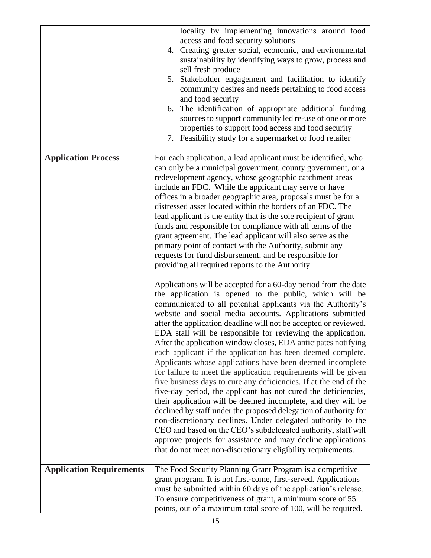|                                 | locality by implementing innovations around food<br>access and food security solutions<br>4. Creating greater social, economic, and environmental<br>sustainability by identifying ways to grow, process and<br>sell fresh produce<br>Stakeholder engagement and facilitation to identify<br>5.<br>community desires and needs pertaining to food access<br>and food security<br>The identification of appropriate additional funding<br>6.<br>sources to support community led re-use of one or more<br>properties to support food access and food security<br>7. Feasibility study for a supermarket or food retailer                                                                                                                                                                                                                                                                                                                                                                                                                                                    |
|---------------------------------|----------------------------------------------------------------------------------------------------------------------------------------------------------------------------------------------------------------------------------------------------------------------------------------------------------------------------------------------------------------------------------------------------------------------------------------------------------------------------------------------------------------------------------------------------------------------------------------------------------------------------------------------------------------------------------------------------------------------------------------------------------------------------------------------------------------------------------------------------------------------------------------------------------------------------------------------------------------------------------------------------------------------------------------------------------------------------|
| <b>Application Process</b>      | For each application, a lead applicant must be identified, who<br>can only be a municipal government, county government, or a<br>redevelopment agency, whose geographic catchment areas<br>include an FDC. While the applicant may serve or have<br>offices in a broader geographic area, proposals must be for a<br>distressed asset located within the borders of an FDC. The<br>lead applicant is the entity that is the sole recipient of grant<br>funds and responsible for compliance with all terms of the<br>grant agreement. The lead applicant will also serve as the<br>primary point of contact with the Authority, submit any<br>requests for fund disbursement, and be responsible for<br>providing all required reports to the Authority.<br>Applications will be accepted for a 60-day period from the date<br>the application is opened to the public, which will be                                                                                                                                                                                      |
|                                 | communicated to all potential applicants via the Authority's<br>website and social media accounts. Applications submitted<br>after the application deadline will not be accepted or reviewed.<br>EDA stall will be responsible for reviewing the application.<br>After the application window closes, EDA anticipates notifying<br>each applicant if the application has been deemed complete.<br>Applicants whose applications have been deemed incomplete<br>for failure to meet the application requirements will be given<br>five business days to cure any deficiencies. If at the end of the<br>five-day period, the applicant has not cured the deficiencies,<br>their application will be deemed incomplete, and they will be<br>declined by staff under the proposed delegation of authority for<br>non-discretionary declines. Under delegated authority to the<br>CEO and based on the CEO's subdelegated authority, staff will<br>approve projects for assistance and may decline applications<br>that do not meet non-discretionary eligibility requirements. |
| <b>Application Requirements</b> | The Food Security Planning Grant Program is a competitive<br>grant program. It is not first-come, first-served. Applications                                                                                                                                                                                                                                                                                                                                                                                                                                                                                                                                                                                                                                                                                                                                                                                                                                                                                                                                               |
|                                 | must be submitted within 60 days of the application's release.<br>To ensure competitiveness of grant, a minimum score of 55<br>points, out of a maximum total score of 100, will be required.                                                                                                                                                                                                                                                                                                                                                                                                                                                                                                                                                                                                                                                                                                                                                                                                                                                                              |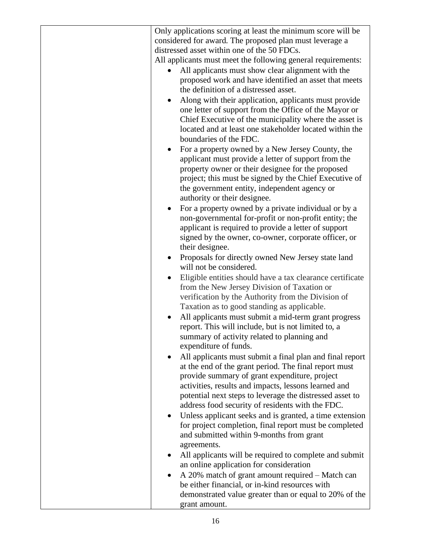|           | Only applications scoring at least the minimum score will be                                          |
|-----------|-------------------------------------------------------------------------------------------------------|
|           | considered for award. The proposed plan must leverage a                                               |
|           | distressed asset within one of the 50 FDCs.                                                           |
|           | All applicants must meet the following general requirements:                                          |
|           | All applicants must show clear alignment with the                                                     |
|           | proposed work and have identified an asset that meets                                                 |
|           | the definition of a distressed asset.                                                                 |
|           | Along with their application, applicants must provide                                                 |
|           | one letter of support from the Office of the Mayor or                                                 |
|           | Chief Executive of the municipality where the asset is                                                |
|           | located and at least one stakeholder located within the                                               |
|           | boundaries of the FDC.                                                                                |
|           | For a property owned by a New Jersey County, the                                                      |
|           | applicant must provide a letter of support from the                                                   |
|           | property owner or their designee for the proposed                                                     |
|           | project; this must be signed by the Chief Executive of                                                |
|           | the government entity, independent agency or                                                          |
|           | authority or their designee.<br>For a property owned by a private individual or by a                  |
|           | non-governmental for-profit or non-profit entity; the                                                 |
|           | applicant is required to provide a letter of support                                                  |
|           | signed by the owner, co-owner, corporate officer, or                                                  |
|           | their designee.                                                                                       |
|           | Proposals for directly owned New Jersey state land                                                    |
|           | will not be considered.                                                                               |
| $\bullet$ | Eligible entities should have a tax clearance certificate                                             |
|           | from the New Jersey Division of Taxation or                                                           |
|           | verification by the Authority from the Division of                                                    |
|           | Taxation as to good standing as applicable.                                                           |
|           | All applicants must submit a mid-term grant progress                                                  |
|           | report. This will include, but is not limited to, a                                                   |
|           | summary of activity related to planning and                                                           |
|           | expenditure of funds.                                                                                 |
|           | All applicants must submit a final plan and final report                                              |
|           | at the end of the grant period. The final report must                                                 |
|           | provide summary of grant expenditure, project<br>activities, results and impacts, lessons learned and |
|           | potential next steps to leverage the distressed asset to                                              |
|           | address food security of residents with the FDC.                                                      |
|           | Unless applicant seeks and is granted, a time extension                                               |
|           | for project completion, final report must be completed                                                |
|           | and submitted within 9-months from grant                                                              |
|           | agreements.                                                                                           |
| ٠         | All applicants will be required to complete and submit                                                |
|           | an online application for consideration                                                               |
|           | A 20% match of grant amount required – Match can                                                      |
|           | be either financial, or in-kind resources with                                                        |
|           | demonstrated value greater than or equal to 20% of the                                                |
|           | grant amount.                                                                                         |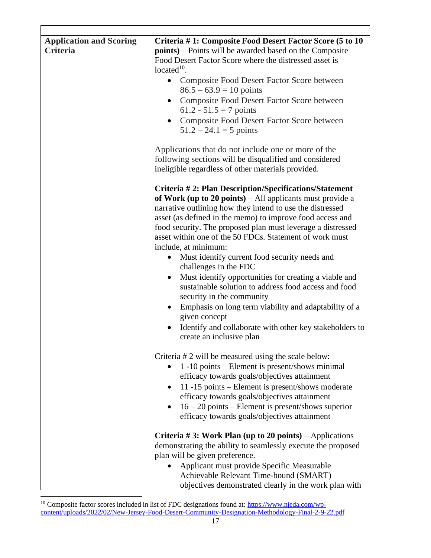| <b>Application and Scoring</b><br><b>Criteria</b> | Criteria #1: Composite Food Desert Factor Score (5 to 10<br><b>points</b> ) – Points will be awarded based on the Composite<br>Food Desert Factor Score where the distressed asset is<br>located $10$ .<br>Composite Food Desert Factor Score between<br>$86.5 - 63.9 = 10$ points<br>Composite Food Desert Factor Score between<br>61.2 - 51.5 = 7 points<br>Composite Food Desert Factor Score between<br>$51.2 - 24.1 = 5$ points<br>Applications that do not include one or more of the<br>following sections will be disqualified and considered<br>ineligible regardless of other materials provided.                                                                                                                                                                                                                     |
|---------------------------------------------------|---------------------------------------------------------------------------------------------------------------------------------------------------------------------------------------------------------------------------------------------------------------------------------------------------------------------------------------------------------------------------------------------------------------------------------------------------------------------------------------------------------------------------------------------------------------------------------------------------------------------------------------------------------------------------------------------------------------------------------------------------------------------------------------------------------------------------------|
|                                                   | Criteria #2: Plan Description/Specifications/Statement<br>of Work (up to 20 points) – All applicants must provide a<br>narrative outlining how they intend to use the distressed<br>asset (as defined in the memo) to improve food access and<br>food security. The proposed plan must leverage a distressed<br>asset within one of the 50 FDCs. Statement of work must<br>include, at minimum:<br>Must identify current food security needs and<br>challenges in the FDC<br>Must identify opportunities for creating a viable and<br>$\bullet$<br>sustainable solution to address food access and food<br>security in the community<br>Emphasis on long term viability and adaptability of a<br>$\bullet$<br>given concept<br>Identify and collaborate with other key stakeholders to<br>$\bullet$<br>create an inclusive plan |
|                                                   | Criteria # 2 will be measured using the scale below:<br>1 -10 points – Element is present/shows minimal<br>efficacy towards goals/objectives attainment<br>11-15 points – Element is present/shows moderate<br>efficacy towards goals/objectives attainment<br>$16 - 20$ points – Element is present/shows superior<br>$\bullet$<br>efficacy towards goals/objectives attainment<br>Criteria #3: Work Plan (up to 20 points) – Applications<br>demonstrating the ability to seamlessly execute the proposed<br>plan will be given preference.<br>Applicant must provide Specific Measurable<br>Achievable Relevant Time-bound (SMART)<br>objectives demonstrated clearly in the work plan with                                                                                                                                  |

<sup>&</sup>lt;sup>10</sup> Composite factor scores included in list of FDC designations found at: [https://www.njeda.com/wp](https://www.njeda.com/wp-content/uploads/2022/02/New-Jersey-Food-Desert-Community-Designation-Methodology-Final-2-9-22.pdf)[content/uploads/2022/02/New-Jersey-Food-Desert-Community-Designation-Methodology-Final-2-9-22.pdf](https://www.njeda.com/wp-content/uploads/2022/02/New-Jersey-Food-Desert-Community-Designation-Methodology-Final-2-9-22.pdf)